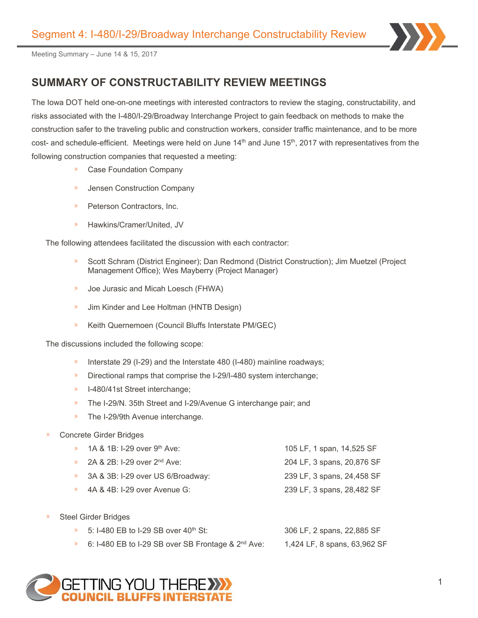

# **SUMMARY OF CONSTRUCTABILITY REVIEW MEETINGS**

The Iowa DOT held one-on-one meetings with interested contractors to review the staging, constructability, and risks associated with the I-480/I-29/Broadway Interchange Project to gain feedback on methods to make the construction safer to the traveling public and construction workers, consider traffic maintenance, and to be more cost- and schedule-efficient. Meetings were held on June 14<sup>th</sup> and June 15<sup>th</sup>, 2017 with representatives from the following construction companies that requested a meeting:

- **DETA** Case Foundation Company
- **»** Jensen Construction Company
- » Peterson Contractors, Inc.
- Hawkins/Cramer/United, JV  $\mathcal{V}$

The following attendees facilitated the discussion with each contractor:

- Scott Schram (District Engineer); Dan Redmond (District Construction); Jim Muetzel (Project  $\mathcal{D}$ Management Office); Wes Mayberry (Project Manager)
- Joe Jurasic and Micah Loesch (FHWA)
- Jim Kinder and Lee Holtman (HNTB Design)  $\mathcal{D}$
- $\mathcal{Y}$ Keith Quernemoen (Council Bluffs Interstate PM/GEC)

The discussions included the following scope:

- Interstate 29 (I-29) and the Interstate 480 (I-480) mainline roadways;  $\mathcal{D}$
- $\mathcal{Y}$ Directional ramps that comprise the I-29/I-480 system interchange;
- $\mathcal{V}$ I-480/41st Street interchange;
- The I-29/N. 35th Street and I-29/Avenue G interchange pair; and  $\mathcal{D}$
- The I-29/9th Avenue interchange.
- Concrete Girder Bridges

| 1A & 1B: I-29 over 9 <sup>th</sup> Ave: | 105 LF, 1 span, 14,525 SF  |
|-----------------------------------------|----------------------------|
| 2A & 2B: I-29 over 2 <sup>nd</sup> Ave: | 204 LF, 3 spans, 20,876 SF |
| 3A & 3B: I-29 over US 6/Broadway:       | 239 LF, 3 spans, 24,458 SF |
| 4A & 4B: I-29 over Avenue G:            | 239 LF, 3 spans, 28,482 SF |
|                                         |                            |

y) Steel Girder Bridges

| 5: I-480 EB to I-29 SB over 40 <sup>th</sup> St:     | 306 LF, 2 spans, 22,885 SF   |
|------------------------------------------------------|------------------------------|
| 6: I-480 EB to I-29 SB over SB Frontage & $2nd$ Ave: | 1,424 LF, 8 spans, 63,962 SF |

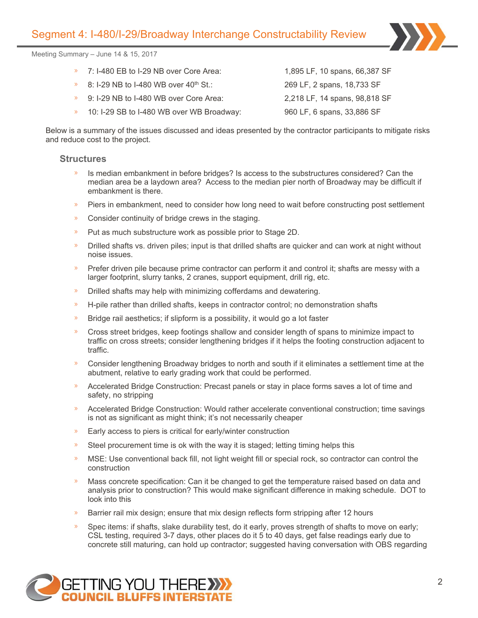- 7: I-480 EB to I-29 NB over Core Area: 1,895 LF, 10 spans, 66,387 SF  $\mathbf{y}$
- 8: I-29 NB to I-480 WB over  $40<sup>th</sup>$  St.: 269 LF, 2 spans, 18,733 SF
- 9: I-29 NB to I-480 WB over Core Area: 2,218 LF, 14 spans, 98,818 SF  $\mathbf{w}$
- 10: I-29 SB to I-480 WB over WB Broadway: 960 LF, 6 spans, 33,886 SF  $\mathbf{y}$

Below is a summary of the issues discussed and ideas presented by the contractor participants to mitigate risks and reduce cost to the project.

#### **Structures**

- $\mathbf{v}$ Is median embankment in before bridges? Is access to the substructures considered? Can the median area be a laydown area? Access to the median pier north of Broadway may be difficult if embankment is there.
- » Piers in embankment, need to consider how long need to wait before constructing post settlement
- $\mathbf{v}$ Consider continuity of bridge crews in the staging.
- Put as much substructure work as possible prior to Stage 2D.  $\mathcal{Y}$
- Drilled shafts vs. driven piles; input is that drilled shafts are quicker and can work at night without  $\mathbf{v}$ noise issues.
- X. Prefer driven pile because prime contractor can perform it and control it; shafts are messy with a larger footprint, slurry tanks, 2 cranes, support equipment, drill rig, etc.
- » Drilled shafts may help with minimizing cofferdams and dewatering.
- $\mathcal{Y}$ H-pile rather than drilled shafts, keeps in contractor control; no demonstration shafts
- Bridge rail aesthetics; if slipform is a possibility, it would go a lot faster  $\mathcal{Y}$
- Cross street bridges, keep footings shallow and consider length of spans to minimize impact to y) traffic on cross streets; consider lengthening bridges if it helps the footing construction adjacent to traffic.
- Consider lengthening Broadway bridges to north and south if it eliminates a settlement time at the y) abutment, relative to early grading work that could be performed.
- Accelerated Bridge Construction: Precast panels or stay in place forms saves a lot of time and  $\mathbf{v}$ safety, no stripping
- Accelerated Bridge Construction: Would rather accelerate conventional construction; time savings  $\mathbf{v}$ is not as significant as might think; it's not necessarily cheaper
- $\mathbf{v}$ Early access to piers is critical for early/winter construction
- y) Steel procurement time is ok with the way it is staged; letting timing helps this
- MSE: Use conventional back fill, not light weight fill or special rock, so contractor can control the  $\mathbf{w}$ construction
- $\mathbf{v}$ Mass concrete specification: Can it be changed to get the temperature raised based on data and analysis prior to construction? This would make significant difference in making schedule. DOT to look into this
- Barrier rail mix design; ensure that mix design reflects form stripping after 12 hours  $\mathcal{V}$
- Spec items: if shafts, slake durability test, do it early, proves strength of shafts to move on early; CSL testing, required 3-7 days, other places do it 5 to 40 days, get false readings early due to concrete still maturing, can hold up contractor; suggested having conversation with OBS regarding

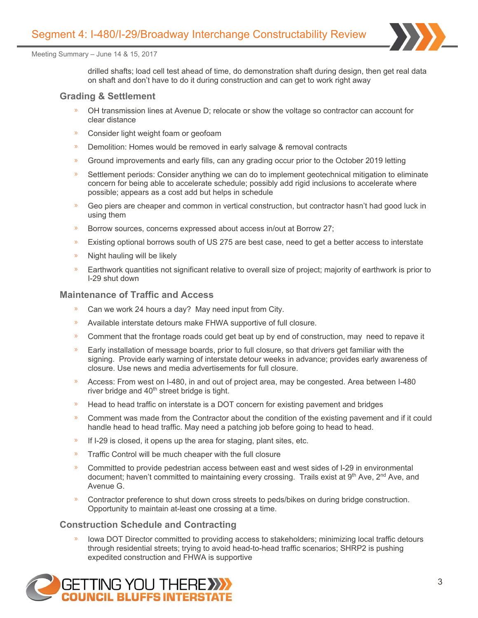

drilled shafts; load cell test ahead of time, do demonstration shaft during design, then get real data on shaft and don't have to do it during construction and can get to work right away

## **Grading & Settlement**

- OH transmission lines at Avenue D; relocate or show the voltage so contractor can account for clear distance
- $\mathbf{w}$ Consider light weight foam or geofoam
- $\mathbf{v}$ Demolition: Homes would be removed in early salvage & removal contracts
- Ground improvements and early fills, can any grading occur prior to the October 2019 letting  $\mathcal{V}$
- $\mathcal{V}$ Settlement periods: Consider anything we can do to implement geotechnical mitigation to eliminate concern for being able to accelerate schedule; possibly add rigid inclusions to accelerate where possible; appears as a cost add but helps in schedule
- » Geo piers are cheaper and common in vertical construction, but contractor hasn't had good luck in using them
- $\mathcal{Y}$ Borrow sources, concerns expressed about access in/out at Borrow 27;
- Existing optional borrows south of US 275 are best case, need to get a better access to interstate  $\mathcal{Y}$
- Night hauling will be likely X)
- $\mathcal{D}$ Earthwork quantities not significant relative to overall size of project; majority of earthwork is prior to I-29 shut down

#### **Maintenance of Traffic and Access**

- Can we work 24 hours a day? May need input from City.
- Available interstate detours make FHWA supportive of full closure.  $\mathcal{D}$
- $\mathbf{v}$ Comment that the frontage roads could get beat up by end of construction, may need to repave it
- $\mathcal{V}$ Early installation of message boards, prior to full closure, so that drivers get familiar with the signing. Provide early warning of interstate detour weeks in advance; provides early awareness of closure. Use news and media advertisements for full closure.
- Access: From west on I-480, in and out of project area, may be congested. Area between I-480  $\mathbf{v}$ river bridge and 40<sup>th</sup> street bridge is tight.
- » Head to head traffic on interstate is a DOT concern for existing pavement and bridges
- Comment was made from the Contractor about the condition of the existing pavement and if it could  $\lambda$ handle head to head traffic. May need a patching job before going to head to head.
- $\mathcal{Y}$ If I-29 is closed, it opens up the area for staging, plant sites, etc.
- $\mathbf{v}$ Traffic Control will be much cheaper with the full closure
- Committed to provide pedestrian access between east and west sides of I-29 in environmental  $\mathbf{v}$ document; haven't committed to maintaining every crossing. Trails exist at 9<sup>th</sup> Ave, 2<sup>nd</sup> Ave, and Avenue G.
- $\mathbf{v}$ Contractor preference to shut down cross streets to peds/bikes on during bridge construction. Opportunity to maintain at-least one crossing at a time.

## **Construction Schedule and Contracting**

Iowa DOT Director committed to providing access to stakeholders; minimizing local traffic detours through residential streets; trying to avoid head-to-head traffic scenarios; SHRP2 is pushing expedited construction and FHWA is supportive

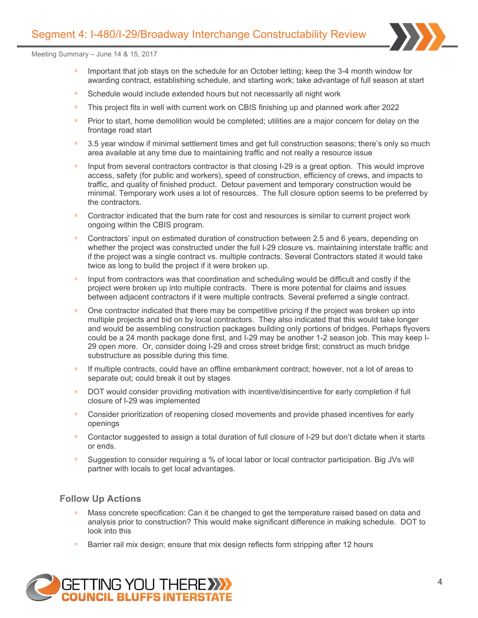

- Important that job stays on the schedule for an October letting; keep the 3-4 month window for y) awarding contract, establishing schedule, and starting work; take advantage of full season at start
- Schedule would include extended hours but not necessarily all night work
- y) This project fits in well with current work on CBIS finishing up and planned work after 2022
- Prior to start, home demolition would be completed; utilities are a major concern for delay on the  $\mathbf{w}$ frontage road start
- $\mathbf{v}$ 3.5 year window if minimal settlement times and get full construction seasons; there's only so much area available at any time due to maintaining traffic and not really a resource issue
- » Input from several contractors contractor is that closing I-29 is a great option. This would improve access, safety (for public and workers), speed of construction, efficiency of crews, and impacts to traffic, and quality of finished product. Detour pavement and temporary construction would be minimal. Temporary work uses a lot of resources. The full closure option seems to be preferred by the contractors.
- Contractor indicated that the burn rate for cost and resources is similar to current project work ongoing within the CBIS program.
- Contractors' input on estimated duration of construction between 2.5 and 6 years, depending on  $\mathcal{V}$ whether the project was constructed under the full I-29 closure vs. maintaining interstate traffic and if the project was a single contract vs. multiple contracts. Several Contractors stated it would take twice as long to build the project if it were broken up.
- Input from contractors was that coordination and scheduling would be difficult and costly if the project were broken up into multiple contracts. There is more potential for claims and issues between adjacent contractors if it were multiple contracts. Several preferred a single contract.
- One contractor indicated that there may be competitive pricing if the project was broken up into y) multiple projects and bid on by local contractors. They also indicated that this would take longer and would be assembling construction packages building only portions of bridges. Perhaps flyovers could be a 24 month package done first, and I-29 may be another 1-2 season job. This may keep I-29 open more. Or, consider doing I-29 and cross street bridge first; construct as much bridge substructure as possible during this time.
- » If multiple contracts, could have an offline embankment contract; however, not a lot of areas to separate out; could break it out by stages
- DOT would consider providing motivation with incentive/disincentive for early completion if full  $\mathbf{v}$ closure of I-29 was implemented
- y) Consider prioritization of reopening closed movements and provide phased incentives for early openings
- Contactor suggested to assign a total duration of full closure of I-29 but don't dictate when it starts or ends.
- Suggestion to consider requiring a % of local labor or local contractor participation. Big JVs will partner with locals to get local advantages.

## **Follow Up Actions**

- Mass concrete specification: Can it be changed to get the temperature raised based on data and analysis prior to construction? This would make significant difference in making schedule. DOT to look into this
- $\mathcal{Y}$ Barrier rail mix design; ensure that mix design reflects form stripping after 12 hours